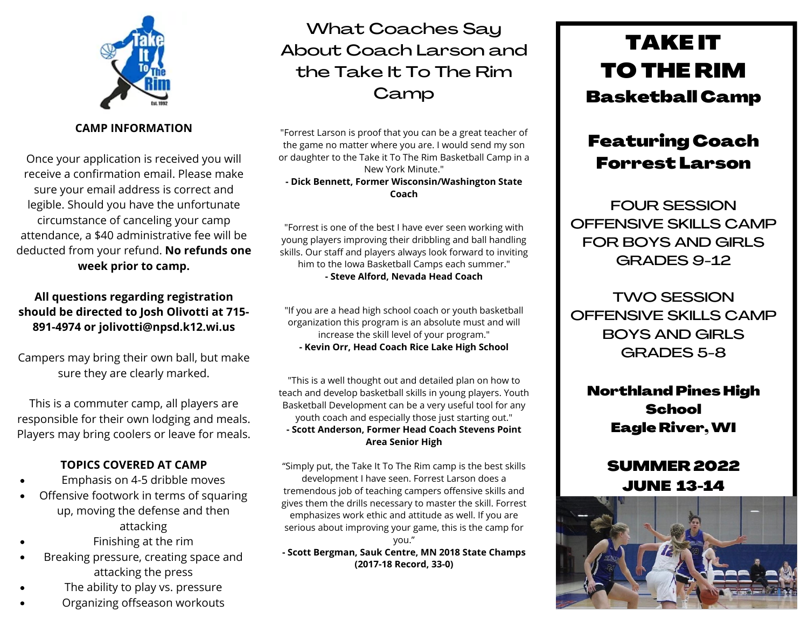

**CAMP INFORMATION**

Once your application is received you will receive a confirmation email. Please make sure your email address is correct and legible. Should you have the unfortunate circumstance of canceling your camp attendance, a \$40 administrative fee will be deducted from your refund. **No refunds one week prior to camp.**

### **All questions regarding registration should be directed to Josh Olivotti at 715- 891-4974 or jolivotti@npsd.k12.wi.us**

Campers may bring their own ball, but make sure they are clearly marked.

This is a commuter camp, all players are responsible for their own lodging and meals. Players may bring coolers or leave for meals.

### **TOPICS COVERED AT CAMP**

- Emphasis on 4-5 dribble moves
- Offensive footwork in terms of squaring up, moving the defense and then attacking
- Finishing at the rim
- Breaking pressure, creating space and  $\bullet$ attacking the press
- The ability to play vs. pressure
- Organizing offseason workouts

# What Coaches Say About Coach Larson and the Take It To The Rim **Camp**

"Forrest Larson is proof that you can be a great teacher of the game no matter where you are. I would send my son or daughter to the Take it To The Rim Basketball Camp in a New York Minute." **- Dick Bennett, Former Wisconsin/Washington State Coach**

"Forrest is one of the best I have ever seen working with young players improving their dribbling and ball handling skills. Our staff and players always look forward to inviting him to the Iowa Basketball Camps each summer." **- Steve Alford, Nevada Head Coach**

"If you are a head high school coach or youth basketball organization this program is an absolute must and will increase the skill level of your program." **- Kevin Orr, Head Coach Rice Lake High School**

"This is a well thought out and detailed plan on how to teach and develop basketball skills in young players. Youth Basketball Development can be a very useful tool for any youth coach and especially those just starting out." **- Scott Anderson, Former Head Coach Stevens Point Area Senior High**

"Simply put, the Take It To The Rim camp is the best skills development I have seen. Forrest Larson does a tremendous job of teaching campers offensive skills and gives them the drills necessary to master the skill. Forrest emphasizes work ethic and attitude as well. If you are serious about improving your game, this is the camp for you."

**- Scott Bergman, Sauk Centre, MN 2018 State Champs (2017-18 Record, 33-0)**

# TAKE IT TO THE RIM Basketball Camp

# Featuring Coach Forrest Larson

FOUR SESSION OFFENSIVE SKILLS CAMP FOR BOYS AND GIRLS GRADES 9-12

TWO SESSION OFFENSIVE SKILLS CAMP BOYS AND GIRLS GRADES 5-8

Northland Pines High **School** Eagle River,WI

## SUMMER 2022 JUNE 13-14